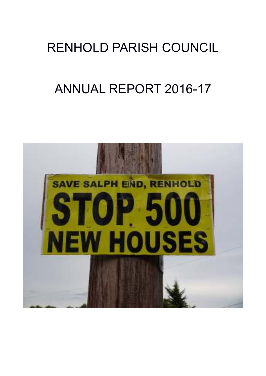# RENHOLD PARISH COUNCIL

# ANNUAL REPORT 2016-17

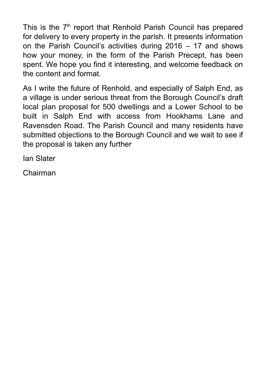This is the  $7<sup>th</sup>$  report that Renhold Parish Council has prepared for delivery to every property in the parish. It presents information on the Parish Council's activities during 2016 – 17 and shows how your money, in the form of the Parish Precept, has been spent. We hope you find it interesting, and welcome feedback on the content and format.

As I write the future of Renhold, and especially of Salph End, as a village is under serious threat from the Borough Council's draft local plan proposal for 500 dwellings and a Lower School to be built in Salph End with access from Hookhams Lane and Ravensden Road. The Parish Council and many residents have submitted objections to the Borough Council and we wait to see if the proposal is taken any further

Ian Slater

Chairman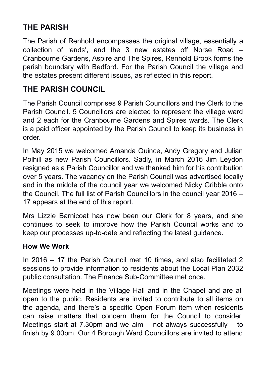### **THE PARISH**

The Parish of Renhold encompasses the original village, essentially a collection of 'ends', and the 3 new estates off Norse Road – Cranbourne Gardens, Aspire and The Spires, Renhold Brook forms the parish boundary with Bedford. For the Parish Council the village and the estates present different issues, as reflected in this report.

### **THE PARISH COUNCIL**

The Parish Council comprises 9 Parish Councillors and the Clerk to the Parish Council. 5 Councillors are elected to represent the village ward and 2 each for the Cranbourne Gardens and Spires wards. The Clerk is a paid officer appointed by the Parish Council to keep its business in order.

In May 2015 we welcomed Amanda Quince, Andy Gregory and Julian Polhill as new Parish Councillors. Sadly, in March 2016 Jim Leydon resigned as a Parish Councillor and we thanked him for his contribution over 5 years. The vacancy on the Parish Council was advertised locally and in the middle of the council year we welcomed Nicky Gribble onto the Council. The full list of Parish Councillors in the council year 2016 – 17 appears at the end of this report.

Mrs Lizzie Barnicoat has now been our Clerk for 8 years, and she continues to seek to improve how the Parish Council works and to keep our processes up-to-date and reflecting the latest guidance.

#### **How We Work**

In 2016 – 17 the Parish Council met 10 times, and also facilitated 2 sessions to provide information to residents about the Local Plan 2032 public consultation. The Finance Sub-Committee met once.

Meetings were held in the Village Hall and in the Chapel and are all open to the public. Residents are invited to contribute to all items on the agenda, and there's a specific Open Forum item when residents can raise matters that concern them for the Council to consider. Meetings start at 7.30pm and we aim – not always successfully – to finish by 9.00pm. Our 4 Borough Ward Councillors are invited to attend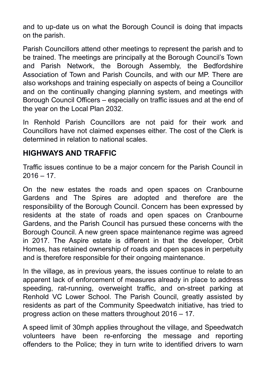and to up-date us on what the Borough Council is doing that impacts on the parish.

Parish Councillors attend other meetings to represent the parish and to be trained. The meetings are principally at the Borough Council's Town and Parish Network, the Borough Assembly, the Bedfordshire Association of Town and Parish Councils, and with our MP. There are also workshops and training especially on aspects of being a Councillor and on the continually changing planning system, and meetings with Borough Council Officers – especially on traffic issues and at the end of the year on the Local Plan 2032.

In Renhold Parish Councillors are not paid for their work and Councillors have not claimed expenses either. The cost of the Clerk is determined in relation to national scales.

#### **HIGHWAYS AND TRAFFIC**

Traffic issues continue to be a major concern for the Parish Council in  $2016 - 17$ 

On the new estates the roads and open spaces on Cranbourne Gardens and The Spires are adopted and therefore are the responsibility of the Borough Council. Concern has been expressed by residents at the state of roads and open spaces on Cranbourne Gardens, and the Parish Council has pursued these concerns with the Borough Council. A new green space maintenance regime was agreed in 2017. The Aspire estate is different in that the developer, Orbit Homes, has retained ownership of roads and open spaces in perpetuity and is therefore responsible for their ongoing maintenance.

In the village, as in previous years, the issues continue to relate to an apparent lack of enforcement of measures already in place to address speeding, rat-running, overweight traffic, and on-street parking at Renhold VC Lower School. The Parish Council, greatly assisted by residents as part of the Community Speedwatch initiative, has tried to progress action on these matters throughout 2016 – 17.

A speed limit of 30mph applies throughout the village, and Speedwatch volunteers have been re-enforcing the message and reporting offenders to the Police; they in turn write to identified drivers to warn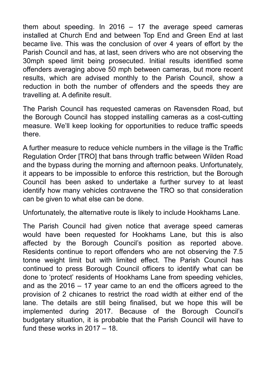them about speeding. In 2016  $-$  17 the average speed cameras installed at Church End and between Top End and Green End at last became live. This was the conclusion of over 4 years of effort by the Parish Council and has, at last, seen drivers who are not observing the 30mph speed limit being prosecuted. Initial results identified some offenders averaging above 50 mph between cameras, but more recent results, which are advised monthly to the Parish Council, show a reduction in both the number of offenders and the speeds they are travelling at. A definite result.

The Parish Council has requested cameras on Ravensden Road, but the Borough Council has stopped installing cameras as a cost-cutting measure. We'll keep looking for opportunities to reduce traffic speeds there.

A further measure to reduce vehicle numbers in the village is the Traffic Regulation Order [TRO] that bans through traffic between Wilden Road and the bypass during the morning and afternoon peaks. Unfortunately, it appears to be impossible to enforce this restriction, but the Borough Council has been asked to undertake a further survey to at least identify how many vehicles contravene the TRO so that consideration can be given to what else can be done.

Unfortunately, the alternative route is likely to include Hookhams Lane.

The Parish Council had given notice that average speed cameras would have been requested for Hookhams Lane, but this is also affected by the Borough Council's position as reported above. Residents continue to report offenders who are not observing the 7.5 tonne weight limit but with limited effect. The Parish Council has continued to press Borough Council officers to identify what can be done to 'protect' residents of Hookhams Lane from speeding vehicles, and as the 2016 – 17 year came to an end the officers agreed to the provision of 2 chicanes to restrict the road width at either end of the lane. The details are still being finalised, but we hope this will be implemented during 2017. Because of the Borough Council's budgetary situation, it is probable that the Parish Council will have to fund these works in 2017 – 18.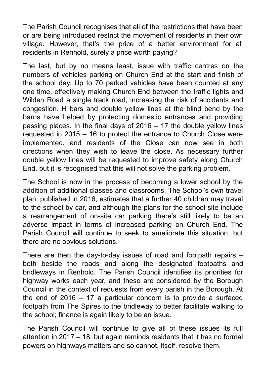The Parish Council recognises that all of the restrictions that have been or are being introduced restrict the movement of residents in their own village. However, that's the price of a better environment for all residents in Renhold, surely a price worth paying?

The last, but by no means least, issue with traffic centres on the numbers of vehicles parking on Church End at the start and finish of the school day. Up to 70 parked vehicles have been counted at any one time, effectively making Church End between the traffic lights and Wilden Road a single track road, increasing the risk of accidents and congestion. H bars and double yellow lines at the blind bend by the barns have helped by protecting domestic entrances and providing passing places. In the final days of 2016 – 17 the double yellow lines requested in 2015 – 16 to protect the entrance to Church Close were implemented, and residents of the Close can now see in both directions when they wish to leave the close. As necessary further double yellow lines will be requested to improve safety along Church End, but it is recognised that this will not solve the parking problem.

The School is now in the process of becoming a lower school by the addition of additional classes and classrooms. The School's own travel plan, published in 2016, estimates that a further 40 children may travel to the school by car, and although the plans for the school site include a rearrangement of on-site car parking there's still likely to be an adverse impact in terms of increased parking on Church End. The Parish Council will continue to seek to ameliorate this situation, but there are no obvious solutions.

There are then the day-to-day issues of road and footpath repairs – both beside the roads and along the designated footpaths and bridleways in Renhold. The Parish Council identifies its priorities for highway works each year, and these are considered by the Borough Council in the context of requests from every parish in the Borough. At the end of 2016 – 17 a particular concern is to provide a surfaced footpath from The Spires to the bridleway to better facilitate walking to the school; finance is again likely to be an issue.

The Parish Council will continue to give all of these issues its full attention in 2017 – 18, but again reminds residents that it has no formal powers on highways matters and so cannot, itself, resolve them.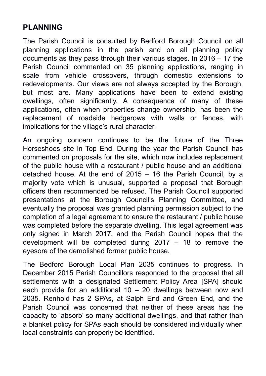#### **PLANNING**

The Parish Council is consulted by Bedford Borough Council on all planning applications in the parish and on all planning policy documents as they pass through their various stages. In 2016 – 17 the Parish Council commented on 35 planning applications, ranging in scale from vehicle crossovers, through domestic extensions to redevelopments. Our views are not always accepted by the Borough, but most are. Many applications have been to extend existing dwellings, often significantly. A consequence of many of these applications, often when properties change ownership, has been the replacement of roadside hedgerows with walls or fences, with implications for the village's rural character.

An ongoing concern continues to be the future of the Three Horseshoes site in Top End. During the year the Parish Council has commented on proposals for the site, which now includes replacement of the public house with a restaurant / public house and an additional detached house. At the end of 2015 – 16 the Parish Council, by a majority vote which is unusual, supported a proposal that Borough officers then recommended be refused. The Parish Council supported presentations at the Borough Council's Planning Committee, and eventually the proposal was granted planning permission subject to the completion of a legal agreement to ensure the restaurant / public house was completed before the separate dwelling. This legal agreement was only signed in March 2017, and the Parish Council hopes that the development will be completed during 2017 – 18 to remove the eyesore of the demolished former public house.

The Bedford Borough Local Plan 2035 continues to progress. In December 2015 Parish Councillors responded to the proposal that all settlements with a designated Settlement Policy Area [SPA] should each provide for an additional  $10 - 20$  dwellings between now and 2035. Renhold has 2 SPAs, at Salph End and Green End, and the Parish Council was concerned that neither of these areas has the capacity to 'absorb' so many additional dwellings, and that rather than a blanket policy for SPAs each should be considered individually when local constraints can properly be identified.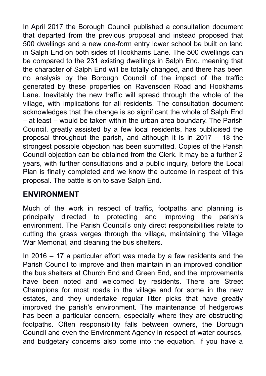In April 2017 the Borough Council published a consultation document that departed from the previous proposal and instead proposed that 500 dwellings and a new one-form entry lower school be built on land in Salph End on both sides of Hookhams Lane. The 500 dwellings can be compared to the 231 existing dwellings in Salph End, meaning that the character of Salph End will be totally changed, and there has been no analysis by the Borough Council of the impact of the traffic generated by these properties on Ravensden Road and Hookhams Lane. Inevitably the new traffic will spread through the whole of the village, with implications for all residents. The consultation document acknowledges that the change is so significant the whole of Salph End – at least – would be taken within the urban area boundary. The Parish Council, greatly assisted by a few local residents, has publicised the proposal throughout the parish, and although it is in 2017 – 18 the strongest possible objection has been submitted. Copies of the Parish Council objection can be obtained from the Clerk. It may be a further 2 years, with further consultations and a public inquiry, before the Local Plan is finally completed and we know the outcome in respect of this proposal. The battle is on to save Salph End.

#### **ENVIRONMENT**

Much of the work in respect of traffic, footpaths and planning is principally directed to protecting and improving the parish's environment. The Parish Council's only direct responsibilities relate to cutting the grass verges through the village, maintaining the Village War Memorial, and cleaning the bus shelters.

In 2016 – 17 a particular effort was made by a few residents and the Parish Council to improve and then maintain in an improved condition the bus shelters at Church End and Green End, and the improvements have been noted and welcomed by residents. There are Street Champions for most roads in the village and for some in the new estates, and they undertake regular litter picks that have greatly improved the parish's environment. The maintenance of hedgerows has been a particular concern, especially where they are obstructing footpaths. Often responsibility falls between owners, the Borough Council and even the Environment Agency in respect of water courses, and budgetary concerns also come into the equation. If you have a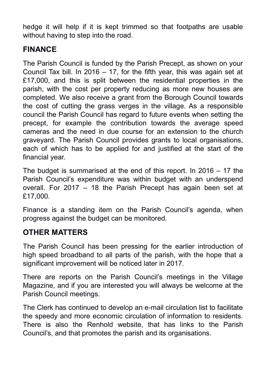hedge it will help if it is kept trimmed so that footpaths are usable without having to step into the road.

#### **FINANCE**

The Parish Council is funded by the Parish Precept, as shown on your Council Tax bill. In 2016 – 17, for the fifth year, this was again set at £17,000, and this is split between the residential properties in the parish, with the cost per property reducing as more new houses are completed. We also receive a grant from the Borough Council towards the cost of cutting the grass verges in the village. As a responsible council the Parish Council has regard to future events when setting the precept, for example the contribution towards the average speed cameras and the need in due course for an extension to the church graveyard. The Parish Council provides grants to local organisations, each of which has to be applied for and justified at the start of the financial year.

The budget is summarised at the end of this report. In 2016 – 17 the Parish Council's expenditure was within budget with an underspend overall. For 2017 – 18 the Parish Precept has again been set at £17,000.

Finance is a standing item on the Parish Council's agenda, when progress against the budget can be monitored.

#### **OTHER MATTERS**

The Parish Council has been pressing for the earlier introduction of high speed broadband to all parts of the parish, with the hope that a significant improvement will be noticed later in 2017.

There are reports on the Parish Council's meetings in the Village Magazine, and if you are interested you will always be welcome at the Parish Council meetings.

The Clerk has continued to develop an e-mail circulation list to facilitate the speedy and more economic circulation of information to residents. There is also the Renhold website, that has links to the Parish Council's, and that promotes the parish and its organisations.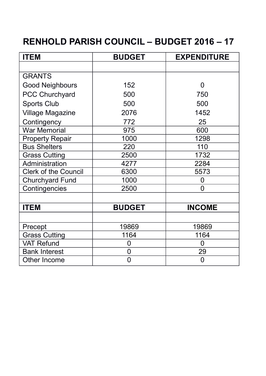## **RENHOLD PARISH COUNCIL – BUDGET 2016 – 17**

| <b>ITEM</b>            | <b>BUDGET</b> | <b>EXPENDITURE</b> |
|------------------------|---------------|--------------------|
|                        |               |                    |
| <b>GRANTS</b>          |               |                    |
| Good Neighbours        | 152           | 0                  |
| <b>PCC Churchyard</b>  | 500           | 750                |
| Sports Club            | 500           | 500                |
| Village Magazine       | 2076          | 1452               |
| Contingency            | 772           | 25                 |
| <b>War Memorial</b>    | 975           | 600                |
| <b>Property Repair</b> | 1000          | 1298               |
| <b>Bus Shelters</b>    | 220           | 110                |
| <b>Grass Cutting</b>   | 2500          | 1732               |
| Administration         | 4277          | 2284               |
| Clerk of the Council   | 6300          | 5573               |
| Churchyard Fund        | 1000          | 0                  |
| Contingencies          | 2500          | $\overline{0}$     |
|                        |               |                    |
| <b>ITEM</b>            | <b>BUDGET</b> | <b>INCOME</b>      |
|                        |               |                    |
| Precept                | 19869         | 19869              |
| <b>Grass Cutting</b>   | 1164          | 1164               |
| <b>VAT Refund</b>      | 0             | 0                  |
| <b>Bank Interest</b>   | 0             | 29                 |
| Other Income           | 0             | $\overline{0}$     |